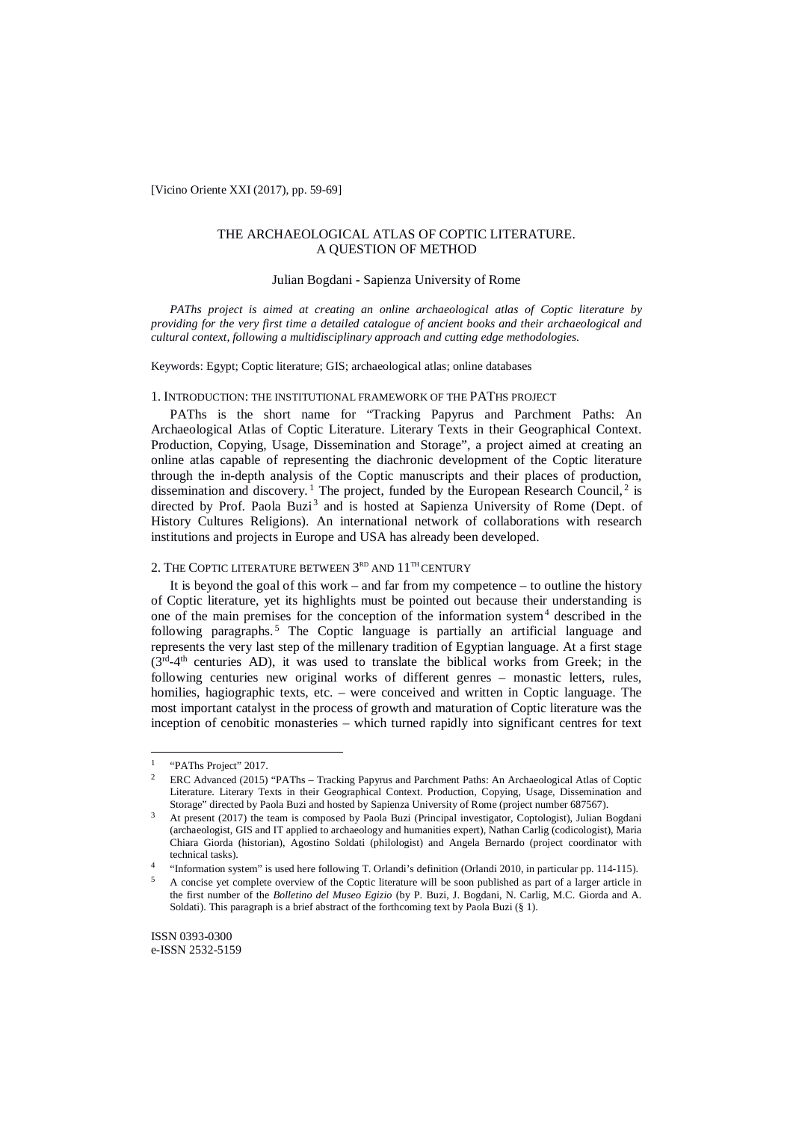[Vicino Oriente XXI (2017), pp. 59-69]

## THE ARCHAEOLOGICAL ATLAS OF COPTIC LITERATURE. A QUESTION OF METHOD

### Julian Bogdani - Sapienza University of Rome

*PAThs project is aimed at creating an online archaeological atlas of Coptic literature by providing for the very first time a detailed catalogue of ancient books and their archaeological and cultural context, following a multidisciplinary approach and cutting edge methodologies.*

Keywords: Egypt; Coptic literature; GIS; archaeological atlas; online databases

#### 1. INTRODUCTION: THE INSTITUTIONAL FRAMEWORK OF THE PATHS PROJECT

PAThs is the short name for "Tracking Papyrus and Parchment Paths: An Archaeological Atlas of Coptic Literature. Literary Texts in their Geographical Context. Production, Copying, Usage, Dissemination and Storage", a project aimed at creating an online atlas capable of representing the diachronic development of the Coptic literature through the in-depth analysis of the Coptic manuscripts and their places of production, dissemination and discovery.<sup>1</sup> The project, funded by the European Research Council,<sup>2</sup> is directed by Prof. Paola Buzi<sup>3</sup> and is hosted at Sapienza University of Rome (Dept. of History Cultures Religions). An international network of collaborations with research institutions and projects in Europe and USA has already been developed.

# 2. THE COPTIC LITERATURE BETWEEN  $3^{\scriptscriptstyle\mathrm{RD}}$  and  $11^{\scriptscriptstyle\mathrm{TH}}$  CENTURY

It is beyond the goal of this work – and far from my competence – to outline the history of Coptic literature, yet its highlights must be pointed out because their understanding is one of the main premises for the conception of the information system<sup>4</sup> described in the following paragraphs. <sup>5</sup> The Coptic language is partially an artificial language and represents the very last step of the millenary tradition of Egyptian language. At a first stage  $(3<sup>rd</sup>-4<sup>th</sup>$  centuries AD), it was used to translate the biblical works from Greek; in the following centuries new original works of different genres – monastic letters, rules, homilies, hagiographic texts, etc. – were conceived and written in Coptic language. The most important catalyst in the process of growth and maturation of Coptic literature was the inception of cenobitic monasteries – which turned rapidly into significant centres for text

<sup>&</sup>lt;sup>1</sup> "PAThs Project" 2017.<br><sup>2</sup> EPC Advanced  $(2015)$  $\mathbf{1}$ 

<sup>2</sup> ERC Advanced (2015) "PAThs – Tracking Papyrus and Parchment Paths: An Archaeological Atlas of Coptic Literature. Literary Texts in their Geographical Context. Production, Copying, Usage, Dissemination and Storage" directed by Paola Buzi and hosted by Sapienza University of Rome (project number 687567).

<sup>3</sup> At present (2017) the team is composed by Paola Buzi (Principal investigator, Coptologist), Julian Bogdani (archaeologist, GIS and IT applied to archaeology and humanities expert), Nathan Carlig (codicologist), Maria Chiara Giorda (historian), Agostino Soldati (philologist) and Angela Bernardo (project coordinator with technical tasks).

<sup>4</sup> "Information system" is used here following T. Orlandi's definition (Orlandi 2010, in particular pp. 114-115).

<sup>5</sup> A concise yet complete overview of the Coptic literature will be soon published as part of a larger article in the first number of the *Bolletino del Museo Egizio* (by P. Buzi, J. Bogdani, N. Carlig, M.C. Giorda and A. Soldati). This paragraph is a brief abstract of the forthcoming text by Paola Buzi (§ 1).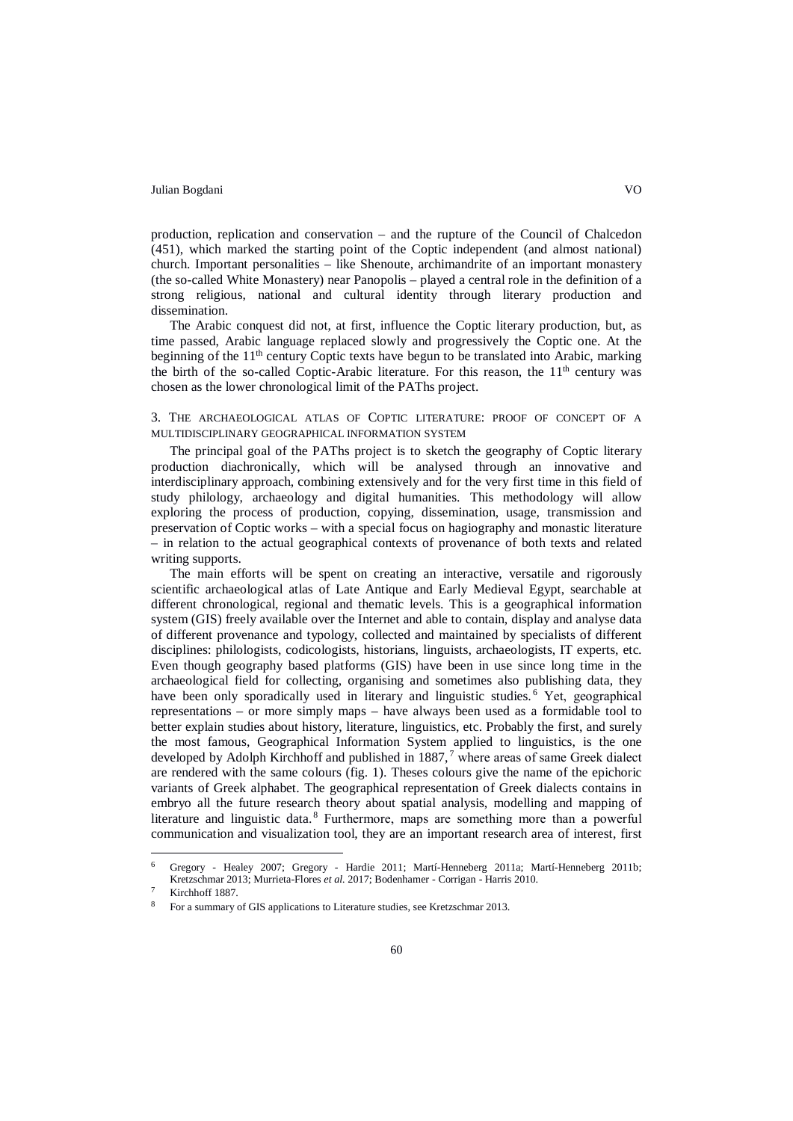production, replication and conservation – and the rupture of the Council of Chalcedon (451), which marked the starting point of the Coptic independent (and almost national) church. Important personalities – like Shenoute, archimandrite of an important monastery (the so-called White Monastery) near Panopolis – played a central role in the definition of a strong religious, national and cultural identity through literary production and dissemination.

The Arabic conquest did not, at first, influence the Coptic literary production, but, as time passed, Arabic language replaced slowly and progressively the Coptic one. At the beginning of the 11<sup>th</sup> century Coptic texts have begun to be translated into Arabic, marking the birth of the so-called Coptic-Arabic literature. For this reason, the  $11<sup>th</sup>$  century was chosen as the lower chronological limit of the PAThs project.

3. THE ARCHAEOLOGICAL ATLAS OF COPTIC LITERATURE: PROOF OF CONCEPT OF A MULTIDISCIPLINARY GEOGRAPHICAL INFORMATION SYSTEM

The principal goal of the PAThs project is to sketch the geography of Coptic literary production diachronically, which will be analysed through an innovative and interdisciplinary approach, combining extensively and for the very first time in this field of study philology, archaeology and digital humanities. This methodology will allow exploring the process of production, copying, dissemination, usage, transmission and preservation of Coptic works – with a special focus on hagiography and monastic literature – in relation to the actual geographical contexts of provenance of both texts and related writing supports.

The main efforts will be spent on creating an interactive, versatile and rigorously scientific archaeological atlas of Late Antique and Early Medieval Egypt, searchable at different chronological, regional and thematic levels. This is a geographical information system (GIS) freely available over the Internet and able to contain, display and analyse data of different provenance and typology, collected and maintained by specialists of different disciplines: philologists, codicologists, historians, linguists, archaeologists, IT experts, etc. Even though geography based platforms (GIS) have been in use since long time in the archaeological field for collecting, organising and sometimes also publishing data, they have been only sporadically used in literary and linguistic studies.<sup>6</sup> Yet, geographical representations – or more simply maps – have always been used as a formidable tool to better explain studies about history, literature, linguistics, etc. Probably the first, and surely the most famous, Geographical Information System applied to linguistics, is the one developed by Adolph Kirchhoff and published in 1887,<sup>7</sup> where areas of same Greek dialect are rendered with the same colours (fig. 1). Theses colours give the name of the epichoric variants of Greek alphabet. The geographical representation of Greek dialects contains in embryo all the future research theory about spatial analysis, modelling and mapping of literature and linguistic data.<sup>8</sup> Furthermore, maps are something more than a powerful communication and visualization tool, they are an important research area of interest, first

<sup>6</sup> Gregory - Healey 2007; Gregory - Hardie 2011; Martí-Henneberg 2011a; Martí-Henneberg 2011b; Kretzschmar 2013; Murrieta-Flores *et al.* 2017; Bodenhamer - Corrigan - Harris 2010.  $\overline{6}$ 

Kirchhoff 1887.

<sup>8</sup> For a summary of GIS applications to Literature studies, see Kretzschmar 2013.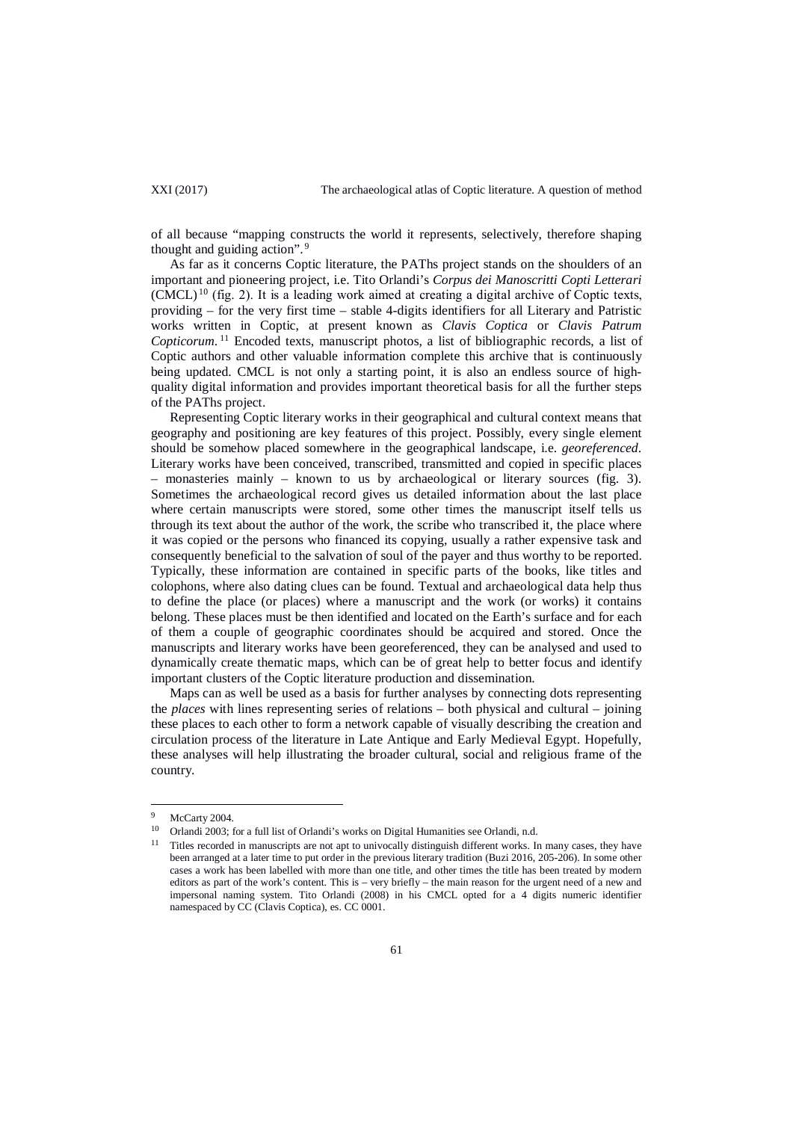of all because "mapping constructs the world it represents, selectively, therefore shaping thought and guiding action". <sup>9</sup>

As far as it concerns Coptic literature, the PAThs project stands on the shoulders of an important and pioneering project, i.e. Tito Orlandi's *Corpus dei Manoscritti Copti Letterari*  $(CMCL)^{10}$  (fig. 2). It is a leading work aimed at creating a digital archive of Coptic texts, providing – for the very first time – stable 4-digits identifiers for all Literary and Patristic works written in Coptic, at present known as *Clavis Coptica* or *Clavis Patrum Copticorum*. <sup>11</sup> Encoded texts, manuscript photos, a list of bibliographic records, a list of Coptic authors and other valuable information complete this archive that is continuously being updated. CMCL is not only a starting point, it is also an endless source of highquality digital information and provides important theoretical basis for all the further steps of the PAThs project.

Representing Coptic literary works in their geographical and cultural context means that geography and positioning are key features of this project. Possibly, every single element should be somehow placed somewhere in the geographical landscape, i.e. *georeferenced*. Literary works have been conceived, transcribed, transmitted and copied in specific places – monasteries mainly – known to us by archaeological or literary sources (fig. 3). Sometimes the archaeological record gives us detailed information about the last place where certain manuscripts were stored, some other times the manuscript itself tells us through its text about the author of the work, the scribe who transcribed it, the place where it was copied or the persons who financed its copying, usually a rather expensive task and consequently beneficial to the salvation of soul of the payer and thus worthy to be reported. Typically, these information are contained in specific parts of the books, like titles and colophons, where also dating clues can be found. Textual and archaeological data help thus to define the place (or places) where a manuscript and the work (or works) it contains belong. These places must be then identified and located on the Earth's surface and for each of them a couple of geographic coordinates should be acquired and stored. Once the manuscripts and literary works have been georeferenced, they can be analysed and used to dynamically create thematic maps, which can be of great help to better focus and identify important clusters of the Coptic literature production and dissemination.

Maps can as well be used as a basis for further analyses by connecting dots representing the *places* with lines representing series of relations – both physical and cultural – joining these places to each other to form a network capable of visually describing the creation and circulation process of the literature in Late Antique and Early Medieval Egypt. Hopefully, these analyses will help illustrating the broader cultural, social and religious frame of the country.

 $\overline{a}$ 

 $^{9}$  McCarty 2004.

<sup>10</sup> Orlandi 2003; for a full list of Orlandi's works on Digital Humanities see Orlandi, n.d.

<sup>11</sup> Titles recorded in manuscripts are not apt to univocally distinguish different works. In many cases, they have been arranged at a later time to put order in the previous literary tradition (Buzi 2016, 205-206). In some other cases a work has been labelled with more than one title, and other times the title has been treated by modern editors as part of the work's content. This is – very briefly – the main reason for the urgent need of a new and impersonal naming system. Tito Orlandi (2008) in his CMCL opted for a 4 digits numeric identifier namespaced by CC (Clavis Coptica), es. CC 0001.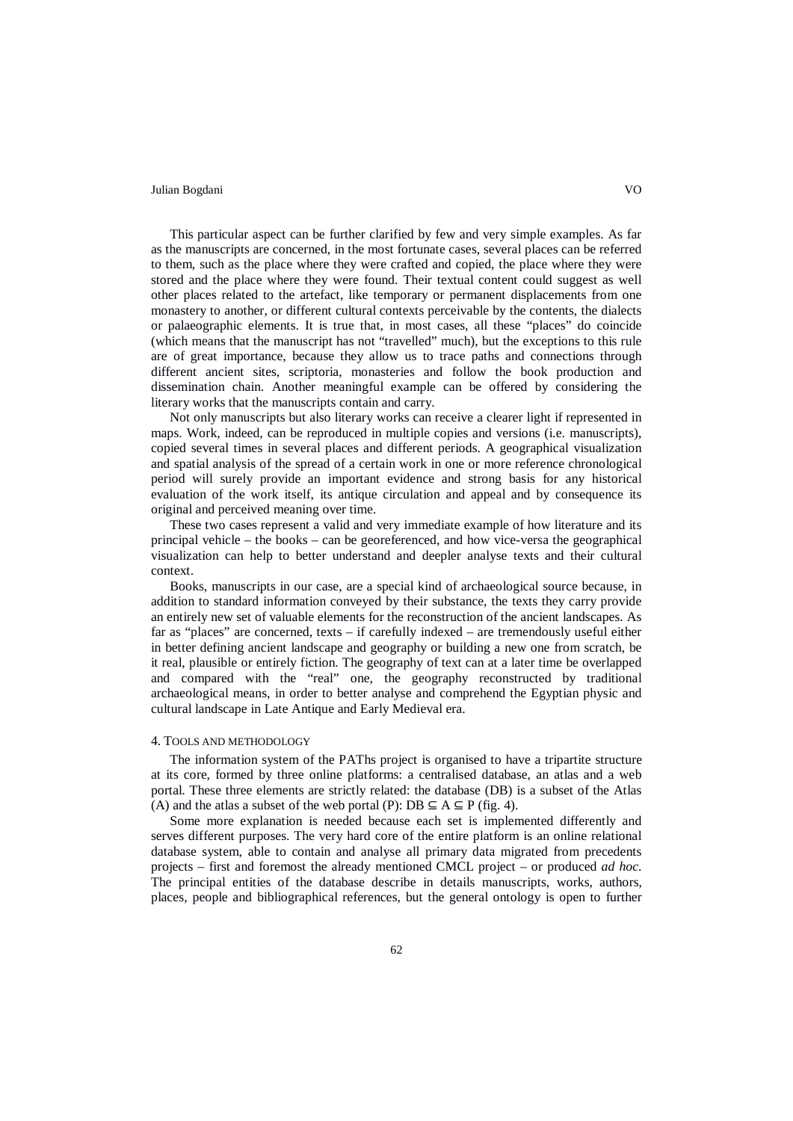This particular aspect can be further clarified by few and very simple examples. As far as the manuscripts are concerned, in the most fortunate cases, several places can be referred to them, such as the place where they were crafted and copied, the place where they were stored and the place where they were found. Their textual content could suggest as well other places related to the artefact, like temporary or permanent displacements from one monastery to another, or different cultural contexts perceivable by the contents, the dialects or palaeographic elements. It is true that, in most cases, all these "places" do coincide (which means that the manuscript has not "travelled" much), but the exceptions to this rule are of great importance, because they allow us to trace paths and connections through different ancient sites, scriptoria, monasteries and follow the book production and dissemination chain. Another meaningful example can be offered by considering the literary works that the manuscripts contain and carry.

Not only manuscripts but also literary works can receive a clearer light if represented in maps. Work, indeed, can be reproduced in multiple copies and versions (i.e. manuscripts), copied several times in several places and different periods. A geographical visualization and spatial analysis of the spread of a certain work in one or more reference chronological period will surely provide an important evidence and strong basis for any historical evaluation of the work itself, its antique circulation and appeal and by consequence its original and perceived meaning over time.

These two cases represent a valid and very immediate example of how literature and its principal vehicle – the books – can be georeferenced, and how vice-versa the geographical visualization can help to better understand and deepler analyse texts and their cultural context.

Books, manuscripts in our case, are a special kind of archaeological source because, in addition to standard information conveyed by their substance, the texts they carry provide an entirely new set of valuable elements for the reconstruction of the ancient landscapes. As far as "places" are concerned, texts – if carefully indexed – are tremendously useful either in better defining ancient landscape and geography or building a new one from scratch, be it real, plausible or entirely fiction. The geography of text can at a later time be overlapped and compared with the "real" one, the geography reconstructed by traditional archaeological means, in order to better analyse and comprehend the Egyptian physic and cultural landscape in Late Antique and Early Medieval era.

#### 4. TOOLS AND METHODOLOGY

The information system of the PAThs project is organised to have a tripartite structure at its core, formed by three online platforms: a centralised database, an atlas and a web portal. These three elements are strictly related: the database (DB) is a subset of the Atlas (A) and the atlas a subset of the web portal (P): DB  $\subseteq$  A  $\subseteq$  P (fig. 4).

Some more explanation is needed because each set is implemented differently and serves different purposes. The very hard core of the entire platform is an online relational database system, able to contain and analyse all primary data migrated from precedents projects – first and foremost the already mentioned CMCL project – or produced *ad hoc*. The principal entities of the database describe in details manuscripts, works, authors, places, people and bibliographical references, but the general ontology is open to further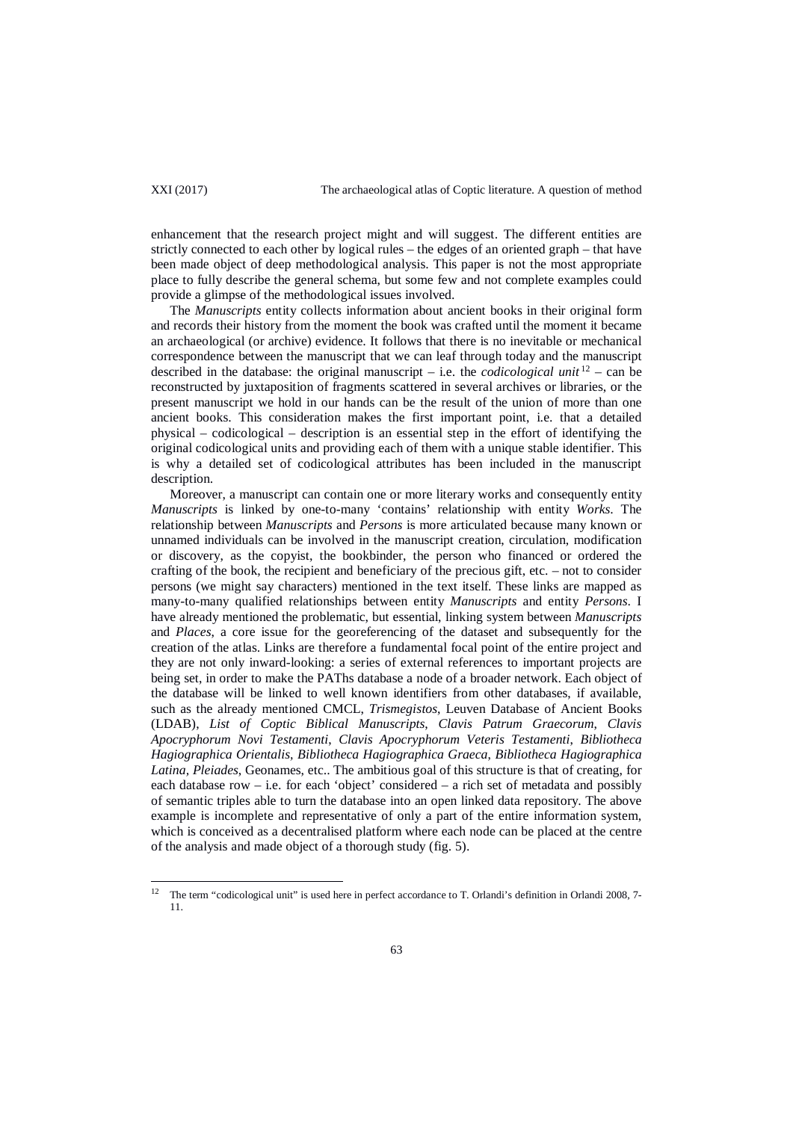$\overline{a}$ 

enhancement that the research project might and will suggest. The different entities are strictly connected to each other by logical rules – the edges of an oriented graph – that have been made object of deep methodological analysis. This paper is not the most appropriate place to fully describe the general schema, but some few and not complete examples could provide a glimpse of the methodological issues involved.

The *Manuscripts* entity collects information about ancient books in their original form and records their history from the moment the book was crafted until the moment it became an archaeological (or archive) evidence. It follows that there is no inevitable or mechanical correspondence between the manuscript that we can leaf through today and the manuscript described in the database: the original manuscript – i.e. the *codicological unit*  $12$  – can be reconstructed by juxtaposition of fragments scattered in several archives or libraries, or the present manuscript we hold in our hands can be the result of the union of more than one ancient books. This consideration makes the first important point, i.e. that a detailed physical – codicological – description is an essential step in the effort of identifying the original codicological units and providing each of them with a unique stable identifier. This is why a detailed set of codicological attributes has been included in the manuscript description.

Moreover, a manuscript can contain one or more literary works and consequently entity *Manuscripts* is linked by one-to-many 'contains' relationship with entity *Works*. The relationship between *Manuscripts* and *Persons* is more articulated because many known or unnamed individuals can be involved in the manuscript creation, circulation, modification or discovery, as the copyist, the bookbinder, the person who financed or ordered the crafting of the book, the recipient and beneficiary of the precious gift, etc. – not to consider persons (we might say characters) mentioned in the text itself. These links are mapped as many-to-many qualified relationships between entity *Manuscripts* and entity *Persons*. I have already mentioned the problematic, but essential, linking system between *Manuscripts* and *Places*, a core issue for the georeferencing of the dataset and subsequently for the creation of the atlas. Links are therefore a fundamental focal point of the entire project and they are not only inward-looking: a series of external references to important projects are being set, in order to make the PAThs database a node of a broader network. Each object of the database will be linked to well known identifiers from other databases, if available, such as the already mentioned CMCL, *Trismegistos*, Leuven Database of Ancient Books (LDAB), *List of Coptic Biblical Manuscripts*, *Clavis Patrum Graecorum*, *Clavis Apocryphorum Novi Testamenti*, *Clavis Apocryphorum Veteris Testamenti*, *Bibliotheca Hagiographica Orientalis, Bibliotheca Hagiographica Graeca*, *Bibliotheca Hagiographica Latina, Pleiades*, Geonames, etc.. The ambitious goal of this structure is that of creating, for each database  $row - i.e.$  for each 'object' considered  $- a$  rich set of metadata and possibly of semantic triples able to turn the database into an open linked data repository. The above example is incomplete and representative of only a part of the entire information system, which is conceived as a decentralised platform where each node can be placed at the centre of the analysis and made object of a thorough study (fig. 5).

<sup>&</sup>lt;sup>12</sup> The term "codicological unit" is used here in perfect accordance to T. Orlandi's definition in Orlandi 2008, 7-11.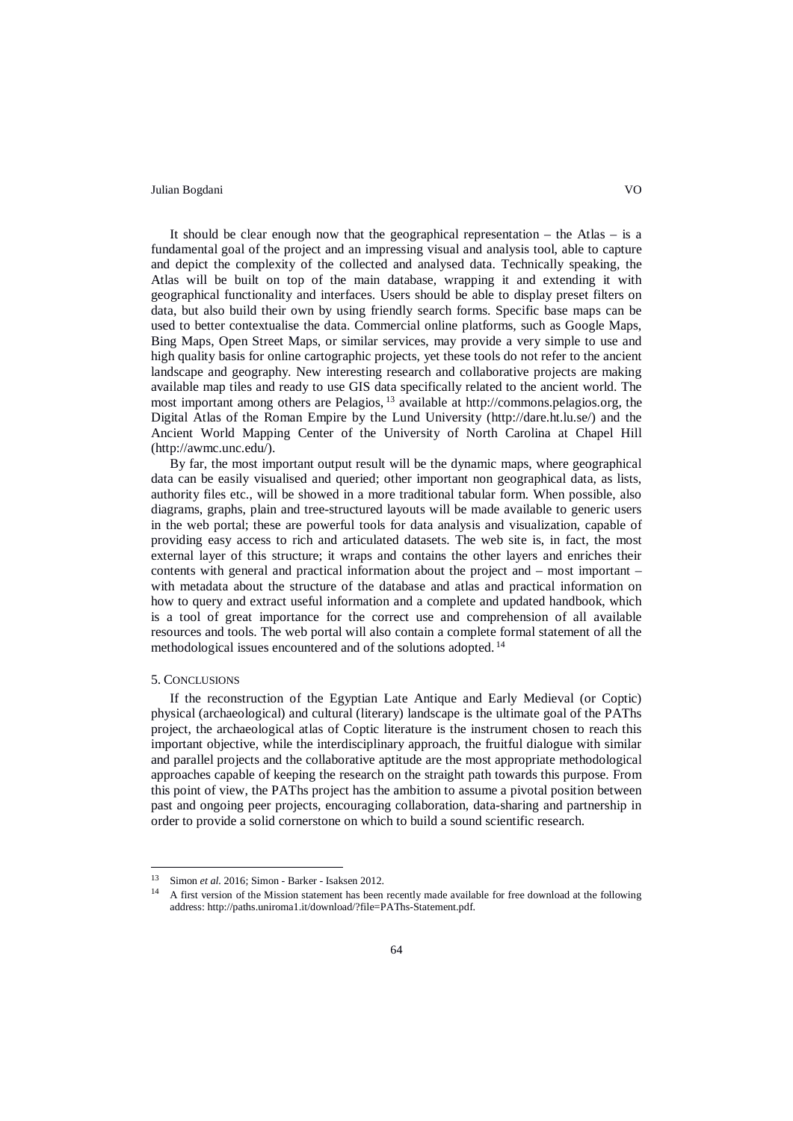It should be clear enough now that the geographical representation – the Atlas – is a fundamental goal of the project and an impressing visual and analysis tool, able to capture and depict the complexity of the collected and analysed data. Technically speaking, the Atlas will be built on top of the main database, wrapping it and extending it with geographical functionality and interfaces. Users should be able to display preset filters on data, but also build their own by using friendly search forms. Specific base maps can be used to better contextualise the data. Commercial online platforms, such as Google Maps, Bing Maps, Open Street Maps, or similar services, may provide a very simple to use and high quality basis for online cartographic projects, yet these tools do not refer to the ancient landscape and geography. New interesting research and collaborative projects are making available map tiles and ready to use GIS data specifically related to the ancient world. The most important among others are Pelagios, <sup>13</sup> available at [http://commons.pelagios.org,](http://commons.pelagios.org/) the Digital Atlas of the Roman Empire by the Lund University [\(http://dare.ht.lu.se/\)](http://dare.ht.lu.se/) and the Ancient World Mapping Center of the University of North Carolina at Chapel Hill [\(http://awmc.unc.edu/\)](http://awmc.unc.edu/).

By far, the most important output result will be the dynamic maps, where geographical data can be easily visualised and queried; other important non geographical data, as lists, authority files etc., will be showed in a more traditional tabular form. When possible, also diagrams, graphs, plain and tree-structured layouts will be made available to generic users in the web portal; these are powerful tools for data analysis and visualization, capable of providing easy access to rich and articulated datasets. The web site is, in fact, the most external layer of this structure; it wraps and contains the other layers and enriches their contents with general and practical information about the project and – most important – with metadata about the structure of the database and atlas and practical information on how to query and extract useful information and a complete and updated handbook, which is a tool of great importance for the correct use and comprehension of all available resources and tools. The web portal will also contain a complete formal statement of all the methodological issues encountered and of the solutions adopted. <sup>14</sup>

#### 5. CONCLUSIONS

 $\overline{a}$ 

If the reconstruction of the Egyptian Late Antique and Early Medieval (or Coptic) physical (archaeological) and cultural (literary) landscape is the ultimate goal of the PAThs project, the archaeological atlas of Coptic literature is the instrument chosen to reach this important objective, while the interdisciplinary approach, the fruitful dialogue with similar and parallel projects and the collaborative aptitude are the most appropriate methodological approaches capable of keeping the research on the straight path towards this purpose. From this point of view, the PAThs project has the ambition to assume a pivotal position between past and ongoing peer projects, encouraging collaboration, data-sharing and partnership in order to provide a solid cornerstone on which to build a sound scientific research.

<sup>&</sup>lt;sup>13</sup> Simon *et al.* 2016; Simon - Barker - Isaksen 2012.

<sup>14</sup> A first version of the Mission statement has been recently made available for free download at the following address: http://paths.uniroma1.it/download/?file=PAThs-Statement.pdf.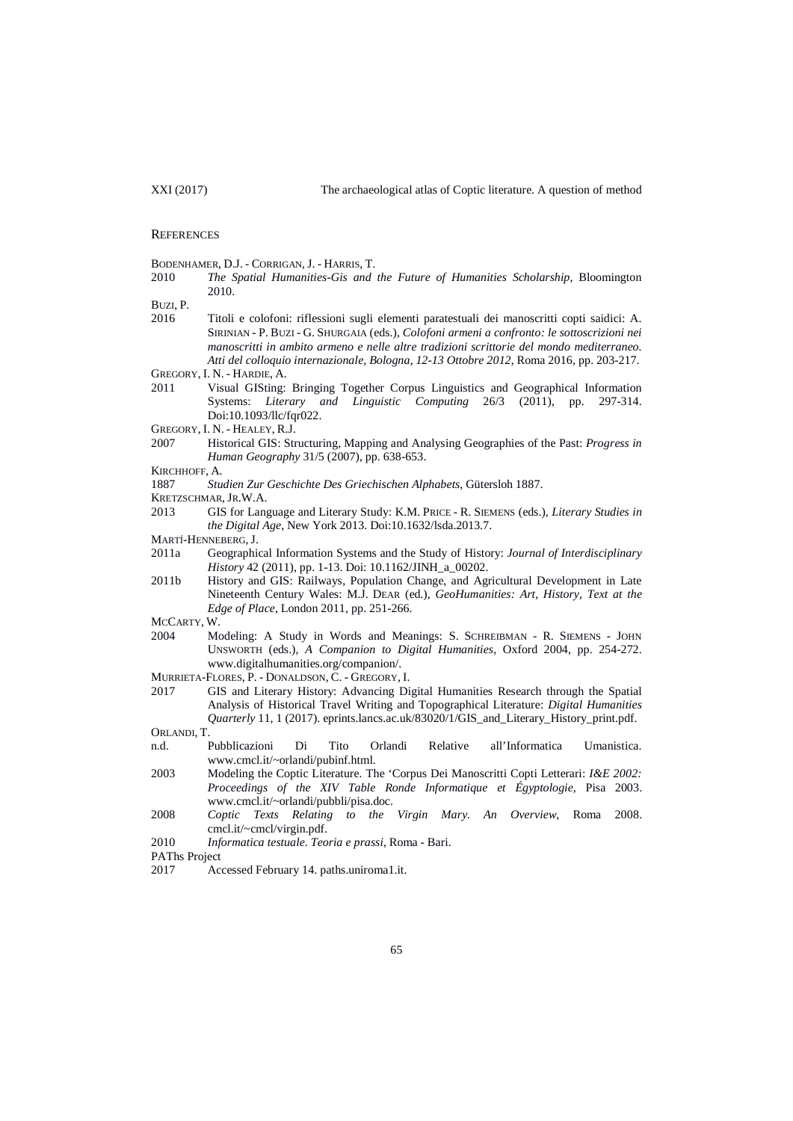#### **REFERENCES**

BODENHAMER, D.J. - CORRIGAN, J. - HARRIS, T.<br>2010 The Spatial Humanities-Gis and

2010 *The Spatial Humanities-Gis and the Future of Humanities Scholarship*, Bloomington 2010.

BUZI, P.

- 2016 Titoli e colofoni: riflessioni sugli elementi paratestuali dei manoscritti copti saidici: A. SIRINIAN - P. BUZI - G. SHURGAIA (eds.), *Colofoni armeni a confronto: le sottoscrizioni nei manoscritti in ambito armeno e nelle altre tradizioni scrittorie del mondo mediterraneo. Atti del colloquio internazionale, Bologna, 12-13 Ottobre 2012*, Roma 2016, pp. 203-217. GREGORY, I. N. - HARDIE, A.
- 2011 Visual GISting: Bringing Together Corpus Linguistics and Geographical Information Systems: *Literary and Linguistic Computing* 26/3 (2011), pp. 297-314. Doi:10.1093/llc/fqr022.
- GREGORY, I. N. HEALEY, R.J.
- 2007 Historical GIS: Structuring, Mapping and Analysing Geographies of the Past: *Progress in Human Geography* 31/5 (2007), pp. 638-653.
- KIRCHHOFF, A.
- 1887 *Studien Zur Geschichte Des Griechischen Alphabets*, Gütersloh 1887.
- KRETZSCHMAR,JR.W.A.
- 2013 GIS for Language and Literary Study: K.M. PRICE R. SIEMENS (eds.), *Literary Studies in the Digital Age*, New York 2013. Doi:10.1632/lsda.2013.7.
- MARTÍ-HENNEBERG,J.
- 2011a Geographical Information Systems and the Study of History: *Journal of Interdisciplinary History* 42 (2011), pp. 1-13. Doi: 10.1162/JINH\_a\_00202.
- 2011b History and GIS: Railways, Population Change, and Agricultural Development in Late Nineteenth Century Wales: M.J. DEAR (ed.), *GeoHumanities: Art, History, Text at the Edge of Place*, London 2011, pp. 251-266.

MCCARTY, W.<br>2004 Mo

- 2004 Modeling: A Study in Words and Meanings: S. SCHREIBMAN R. SIEMENS JOHN UNSWORTH (eds.), *A Companion to Digital Humanities*, Oxford 2004, pp. 254-272. www.digitalhumanities.org/companion/.
- MURRIETA-FLORES, P. DONALDSON, C. GREGORY, I.<br>2017 GIS and Literary History: Advancing Di
- 2017 GIS and Literary History: Advancing Digital Humanities Research through the Spatial Analysis of Historical Travel Writing and Topographical Literature: *Digital Humanities Quarterly* 11, 1 (2017)[. eprints.lancs.ac.uk/83020/1/GIS\\_and\\_Literary\\_History\\_print.pdf.](http://eprints.lancs.ac.uk/83020/1/GIS_and_Literary_History_print.pdf) ORLANDI, T.
- n.d. Pubblicazioni Di Tito Orlandi Relative all'Informatica Umanistica. www.cmcl.it/~orlandi/pubinf.html.
- 2003 Modeling the Coptic Literature. The 'Corpus Dei Manoscritti Copti Letterari: *I&E 2002: Proceedings of the XIV Table Ronde Informatique et Égyptologie*, Pisa 2003. [www.cmcl.it/~orlandi/pubbli/pisa.doc.](http://www.cmcl.it/%7Eorlandi/pubbli/pisa.doc)
- 2008 *Coptic Texts Relating to the Virgin Mary. An Overview*, Roma 2008. [cmcl.it/~cmcl/virgin.pdf.](http://cmcl.it/%7Ecmcl/virgin.pdf)
- 2010 *Informatica testuale. Teoria e prassi*, Roma Bari.

PAThs Project

2017 Accessed February 14. paths.uniroma1.it.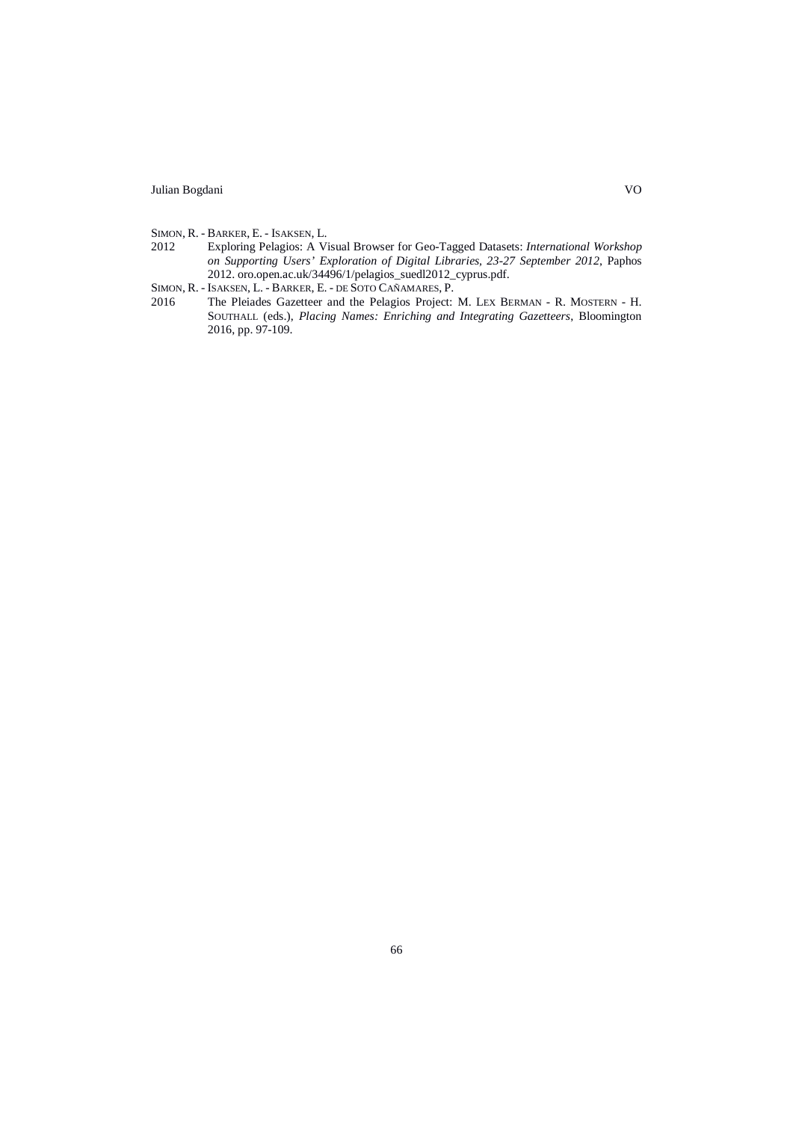- SIMON, R. BARKER, E. ISAKSEN, L.<br>2012 Exploring Pelagios: A Vi
- 2012 Exploring Pelagios: A Visual Browser for Geo-Tagged Datasets: *International Workshop on Supporting Users' Exploration of Digital Libraries, 23-27 September 2012*, Paphos 2012. oro.open.ac.uk/34496/1/pelagios\_suedl2012\_cyprus.pdf.
- SIMON, R. ISAKSEN, L. BARKER, E. DE SOTO CAÑAMARES, P.
- 2016 The Pleiades Gazetteer and the Pelagios Project: M. LEX BERMAN R. MOSTERN H. SOUTHALL (eds.), *Placing Names: Enriching and Integrating Gazetteers*, Bloomington 2016, pp. 97-109.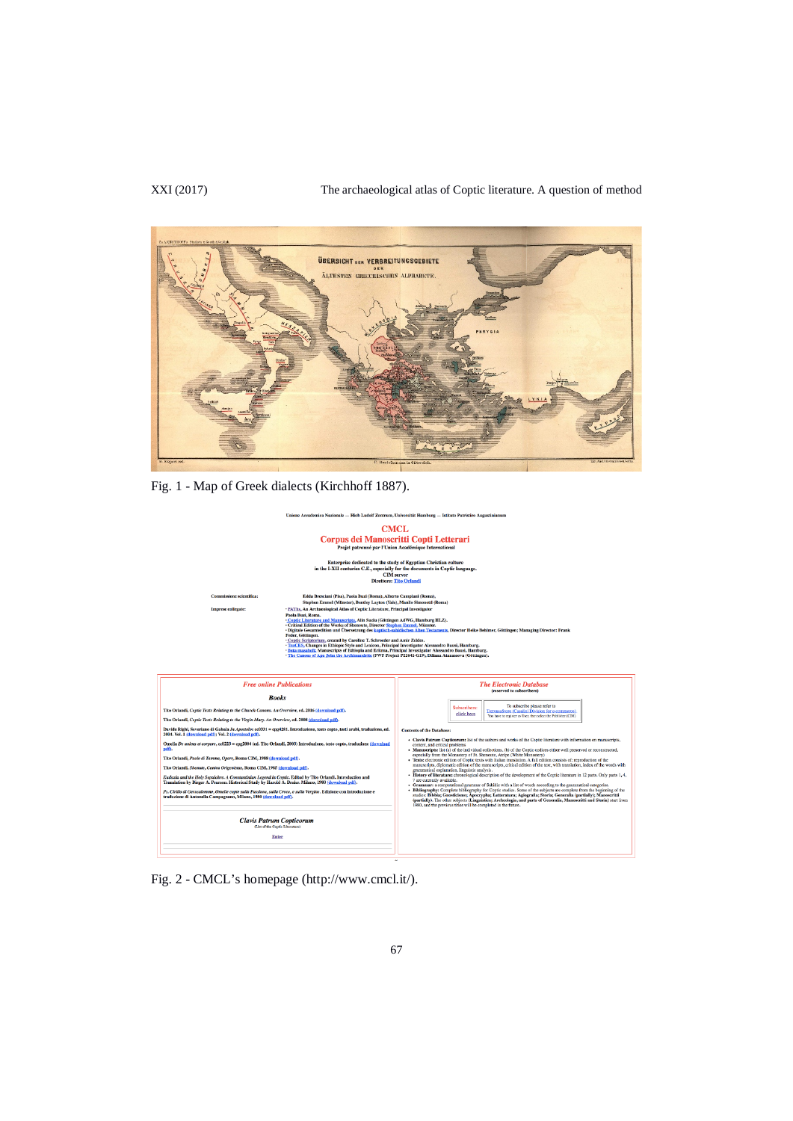## XXI (2017) The archaeological atlas of Coptic literature. A question of method



Fig. 1 - Map of Greek dialects (Kirchhoff 1887).



Fig. 2 - CMCL's homepage (http://www.cmcl.it/).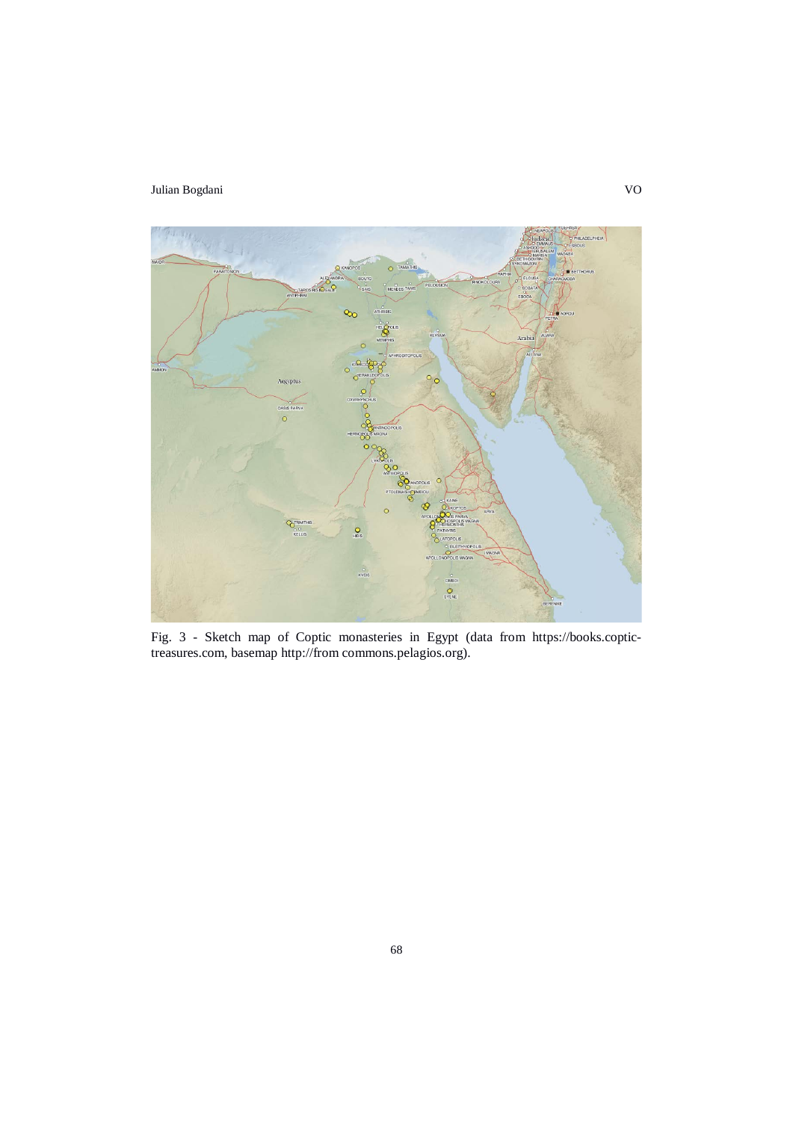

Fig. 3 - Sketch map of Coptic monasteries in Egypt (data from [https://books.coptic](https://books.coptic-treasures.com/)[treasures.com,](https://books.coptic-treasures.com/) basemap http://from commons.pelagios.org).